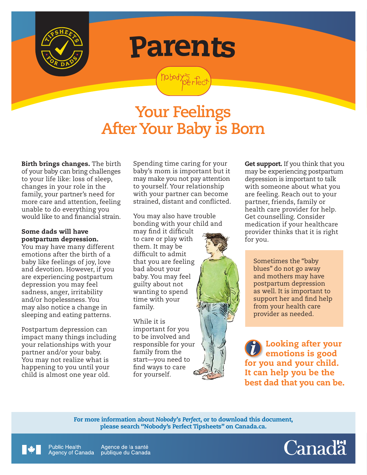

Parents

nobody?5 fec

## **Your Feelings After Your Baby is Born**

Birth brings changes. The birth of your baby can bring challenges to your life like: loss of sleep, changes in your role in the family, your partner's need for more care and attention, feeling unable to do everything you would like to and financial strain.

## Some dads will have postpartum depression.

You may have many different emotions after the birth of a baby like feelings of joy, love and devotion. However, if you are experiencing postpartum depression you may feel sadness, anger, irritability and/or hopelessness. You may also notice a change in sleeping and eating patterns.

Postpartum depression can impact many things including your relationships with your partner and/or your baby. You may not realize what is happening to you until your child is almost one year old.

**Public Health** 

Spending time caring for your baby's mom is important but it may make you not pay attention to yourself. Your relationship with your partner can become strained, distant and conflicted.

You may also have trouble bonding with your child and

may find it difficult to care or play with them. It may be difficult to admit that you are feeling bad about your baby. You may feel guilty about not wanting to spend time with your family.

While it is important for you to be involved and responsible for your family from the start—you need to find ways to care for yourself.

**Get support.** If you think that you may be experiencing postpartum depression is important to talk with someone about what you are feeling. Reach out to your partner, friends, family or health care provider for help. Get counselling. Consider medication if your healthcare provider thinks that it is right for you.

Sometimes the "baby blues" do not go away and mothers may have postpartum depression as well. It is important to support her and find help from your health care provider as needed.

Looking after your emotions is good for you and your child. It can help you be the best dad that you can be.

For more information about *Nobody's Perfect*, or to download this document, please search "Nobody's Perfect Tipsheets" on Canada.ca.



Agence de la santé Agency of Canada publique du Canada